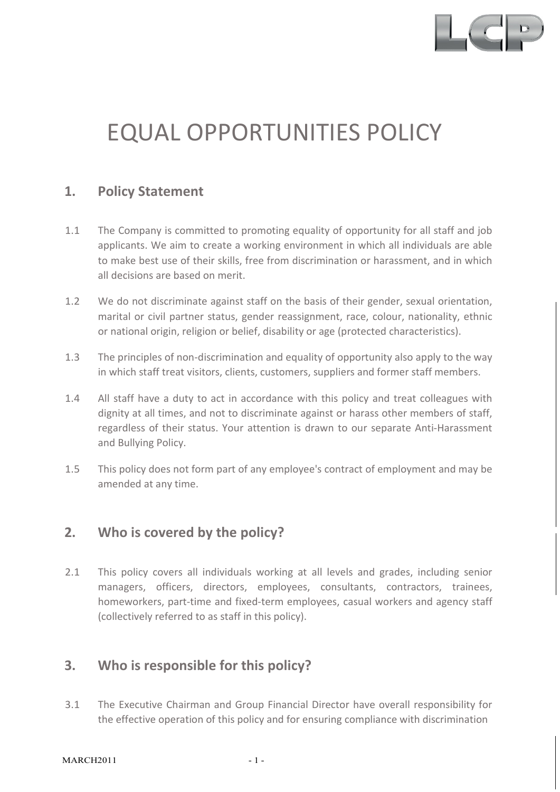

# EQUAL OPPORTUNITIES POLICY

## **1. Policy Statement**

- 1.1 The Company is committed to promoting equality of opportunity for all staff and job applicants. We aim to create a working environment in which all individuals are able to make best use of their skills, free from discrimination or harassment, and in which all decisions are based on merit.
- 1.2 We do not discriminate against staff on the basis of their gender, sexual orientation, marital or civil partner status, gender reassignment, race, colour, nationality, ethnic or national origin, religion or belief, disability or age (protected characteristics).
- 1.3 The principles of non-discrimination and equality of opportunity also apply to the way in which staff treat visitors, clients, customers, suppliers and former staff members.
- 1.4 All staff have a duty to act in accordance with this policy and treat colleagues with dignity at all times, and not to discriminate against or harass other members of staff, regardless of their status. Your attention is drawn to our separate Anti-Harassment and Bullying Policy.
- 1.5 This policy does not form part of any employee's contract of employment and may be amended at any time.

## **2. Who is covered by the policy?**

2.1 This policy covers all individuals working at all levels and grades, including senior managers, officers, directors, employees, consultants, contractors, trainees, homeworkers, part-time and fixed-term employees, casual workers and agency staff (collectively referred to as staff in this policy).

## **3. Who is responsible for this policy?**

3.1 The Executive Chairman and Group Financial Director have overall responsibility for the effective operation of this policy and for ensuring compliance with discrimination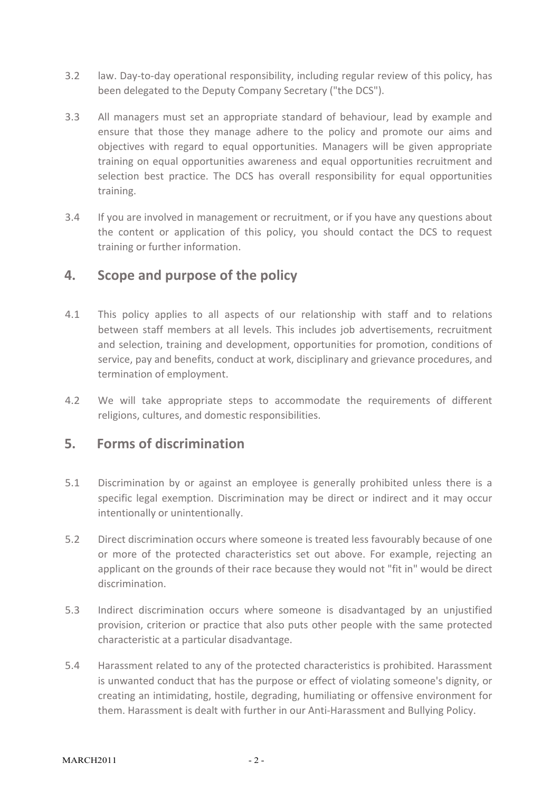- 3.2 law. Day-to-day operational responsibility, including regular review of this policy, has been delegated to the Deputy Company Secretary ("the DCS").
- 3.3 All managers must set an appropriate standard of behaviour, lead by example and ensure that those they manage adhere to the policy and promote our aims and objectives with regard to equal opportunities. Managers will be given appropriate training on equal opportunities awareness and equal opportunities recruitment and selection best practice. The DCS has overall responsibility for equal opportunities training.
- 3.4 If you are involved in management or recruitment, or if you have any questions about the content or application of this policy, you should contact the DCS to request training or further information.

## **4. Scope and purpose of the policy**

- 4.1 This policy applies to all aspects of our relationship with staff and to relations between staff members at all levels. This includes job advertisements, recruitment and selection, training and development, opportunities for promotion, conditions of service, pay and benefits, conduct at work, disciplinary and grievance procedures, and termination of employment.
- 4.2 We will take appropriate steps to accommodate the requirements of different religions, cultures, and domestic responsibilities.

## **5. Forms of discrimination**

- 5.1 Discrimination by or against an employee is generally prohibited unless there is a specific legal exemption. Discrimination may be direct or indirect and it may occur intentionally or unintentionally.
- 5.2 Direct discrimination occurs where someone is treated less favourably because of one or more of the protected characteristics set out above. For example, rejecting an applicant on the grounds of their race because they would not "fit in" would be direct discrimination.
- 5.3 Indirect discrimination occurs where someone is disadvantaged by an unjustified provision, criterion or practice that also puts other people with the same protected characteristic at a particular disadvantage.
- 5.4 Harassment related to any of the protected characteristics is prohibited. Harassment is unwanted conduct that has the purpose or effect of violating someone's dignity, or creating an intimidating, hostile, degrading, humiliating or offensive environment for them. Harassment is dealt with further in our Anti-Harassment and Bullying Policy.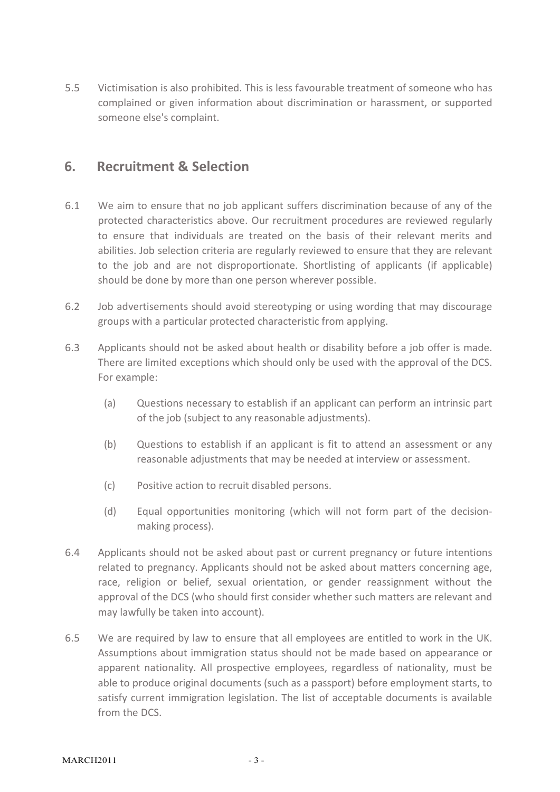5.5 Victimisation is also prohibited. This is less favourable treatment of someone who has complained or given information about discrimination or harassment, or supported someone else's complaint.

## **6. Recruitment & Selection**

- 6.1 We aim to ensure that no job applicant suffers discrimination because of any of the protected characteristics above. Our recruitment procedures are reviewed regularly to ensure that individuals are treated on the basis of their relevant merits and abilities. Job selection criteria are regularly reviewed to ensure that they are relevant to the job and are not disproportionate. Shortlisting of applicants (if applicable) should be done by more than one person wherever possible.
- 6.2 Job advertisements should avoid stereotyping or using wording that may discourage groups with a particular protected characteristic from applying.
- 6.3 Applicants should not be asked about health or disability before a job offer is made. There are limited exceptions which should only be used with the approval of the DCS. For example:
	- (a) Questions necessary to establish if an applicant can perform an intrinsic part of the job (subject to any reasonable adjustments).
	- (b) Questions to establish if an applicant is fit to attend an assessment or any reasonable adjustments that may be needed at interview or assessment.
	- (c) Positive action to recruit disabled persons.
	- (d) Equal opportunities monitoring (which will not form part of the decisionmaking process).
- 6.4 Applicants should not be asked about past or current pregnancy or future intentions related to pregnancy. Applicants should not be asked about matters concerning age, race, religion or belief, sexual orientation, or gender reassignment without the approval of the DCS (who should first consider whether such matters are relevant and may lawfully be taken into account).
- 6.5 We are required by law to ensure that all employees are entitled to work in the UK. Assumptions about immigration status should not be made based on appearance or apparent nationality. All prospective employees, regardless of nationality, must be able to produce original documents (such as a passport) before employment starts, to satisfy current immigration legislation. The list of acceptable documents is available from the DCS.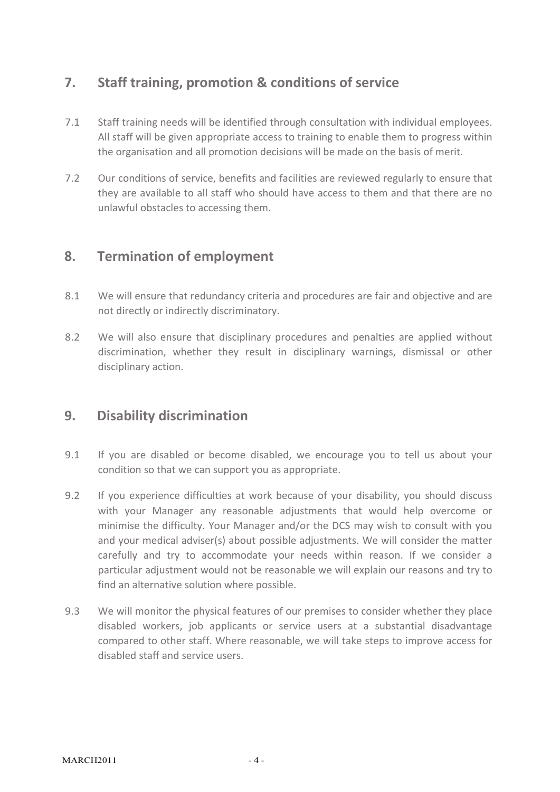# **7. Staff training, promotion & conditions of service**

- 7.1 Staff training needs will be identified through consultation with individual employees. All staff will be given appropriate access to training to enable them to progress within the organisation and all promotion decisions will be made on the basis of merit.
- 7.2 Our conditions of service, benefits and facilities are reviewed regularly to ensure that they are available to all staff who should have access to them and that there are no unlawful obstacles to accessing them.

## **8. Termination of employment**

- 8.1 We will ensure that redundancy criteria and procedures are fair and objective and are not directly or indirectly discriminatory.
- 8.2 We will also ensure that disciplinary procedures and penalties are applied without discrimination, whether they result in disciplinary warnings, dismissal or other disciplinary action.

## **9. Disability discrimination**

- 9.1 If you are disabled or become disabled, we encourage you to tell us about your condition so that we can support you as appropriate.
- 9.2 If you experience difficulties at work because of your disability, you should discuss with your Manager any reasonable adjustments that would help overcome or minimise the difficulty. Your Manager and/or the DCS may wish to consult with you and your medical adviser(s) about possible adjustments. We will consider the matter carefully and try to accommodate your needs within reason. If we consider a particular adjustment would not be reasonable we will explain our reasons and try to find an alternative solution where possible.
- 9.3 We will monitor the physical features of our premises to consider whether they place disabled workers, job applicants or service users at a substantial disadvantage compared to other staff. Where reasonable, we will take steps to improve access for disabled staff and service users.